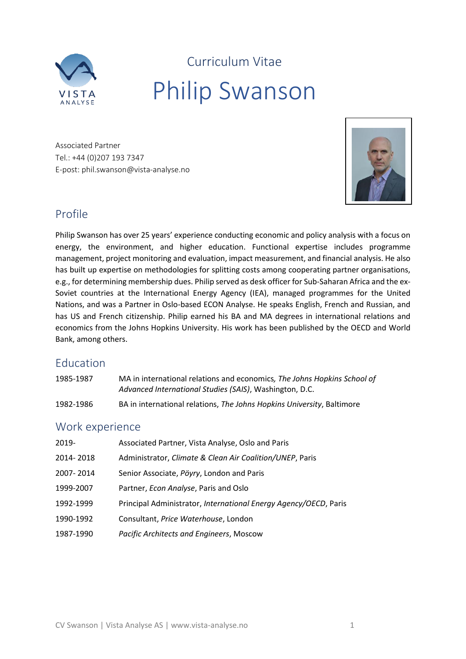

Curriculum Vitae Philip Swanson

Associated Partner Tel.: +44 (0)207 193 7347 E-post: phil.swanson@vista-analyse.no



# Profile

Philip Swanson has over 25 years' experience conducting economic and policy analysis with a focus on energy, the environment, and higher education. Functional expertise includes programme management, project monitoring and evaluation, impact measurement, and financial analysis. He also has built up expertise on methodologies for splitting costs among cooperating partner organisations, e.g., for determining membership dues. Philip served as desk officer for Sub-Saharan Africa and the ex-Soviet countries at the International Energy Agency (IEA), managed programmes for the United Nations, and was a Partner in Oslo-based ECON Analyse. He speaks English, French and Russian, and has US and French citizenship. Philip earned his BA and MA degrees in international relations and economics from the Johns Hopkins University. His work has been published by the OECD and World Bank, among others.

## Education

| 1985-1987 | MA in international relations and economics, The Johns Hopkins School of |
|-----------|--------------------------------------------------------------------------|
|           | Advanced International Studies (SAIS), Washington, D.C.                  |
| 1982-1986 | BA in international relations, The Johns Hopkins University, Baltimore   |

## Work experience

| 2019-     | Associated Partner, Vista Analyse, Oslo and Paris                |
|-----------|------------------------------------------------------------------|
| 2014-2018 | Administrator, Climate & Clean Air Coalition/UNEP, Paris         |
| 2007-2014 | Senior Associate, Pöyry, London and Paris                        |
| 1999-2007 | Partner, Econ Analyse, Paris and Oslo                            |
| 1992-1999 | Principal Administrator, International Energy Agency/OECD, Paris |
| 1990-1992 | Consultant, Price Waterhouse, London                             |
| 1987-1990 | Pacific Architects and Engineers, Moscow                         |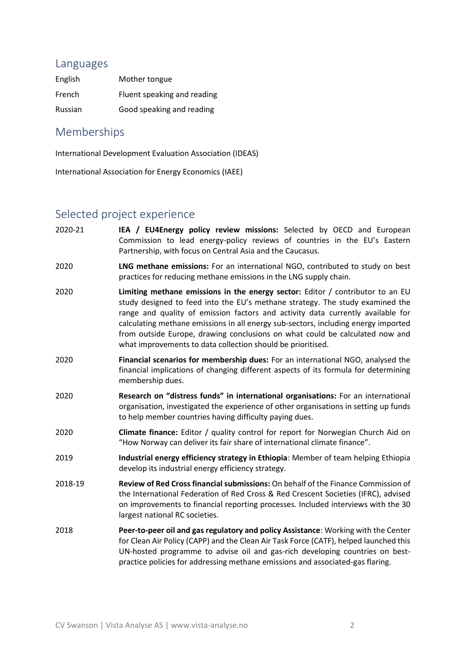#### Languages

| English | Mother tongue               |
|---------|-----------------------------|
| French  | Fluent speaking and reading |
| Russian | Good speaking and reading   |

### Memberships

International Development Evaluation Association (IDEAS)

International Association for Energy Economics (IAEE)

### Selected project experience

- 2020-21 **IEA / EU4Energy policy review missions:** Selected by OECD and European Commission to lead energy-policy reviews of countries in the EU's Eastern Partnership, with focus on Central Asia and the Caucasus.
- 2020 **LNG methane emissions:** For an international NGO, contributed to study on best practices for reducing methane emissions in the LNG supply chain.
- 2020 **Limiting methane emissions in the energy sector:** Editor / contributor to an EU study designed to feed into the EU's methane strategy. The study examined the range and quality of emission factors and activity data currently available for calculating methane emissions in all energy sub-sectors, including energy imported from outside Europe, drawing conclusions on what could be calculated now and what improvements to data collection should be prioritised.
- 2020 **Financial scenarios for membership dues:** For an international NGO, analysed the financial implications of changing different aspects of its formula for determining membership dues.
- 2020 **Research on "distress funds" in international organisations:** For an international organisation, investigated the experience of other organisations in setting up funds to help member countries having difficulty paying dues.
- 2020 **Climate finance:** Editor / quality control for report for Norwegian Church Aid on "How Norway can deliver its fair share of international climate finance".
- 2019 **Industrial energy efficiency strategy in Ethiopia**: Member of team helping Ethiopia develop its industrial energy efficiency strategy.
- 2018-19 **Review of Red Cross financial submissions:** On behalf of the Finance Commission of the International Federation of Red Cross & Red Crescent Societies (IFRC), advised on improvements to financial reporting processes. Included interviews with the 30 largest national RC societies.
- 2018 **Peer-to-peer oil and gas regulatory and policy Assistance**: Working with the Center for Clean Air Policy (CAPP) and the Clean Air Task Force (CATF), helped launched this UN-hosted programme to advise oil and gas-rich developing countries on bestpractice policies for addressing methane emissions and associated-gas flaring.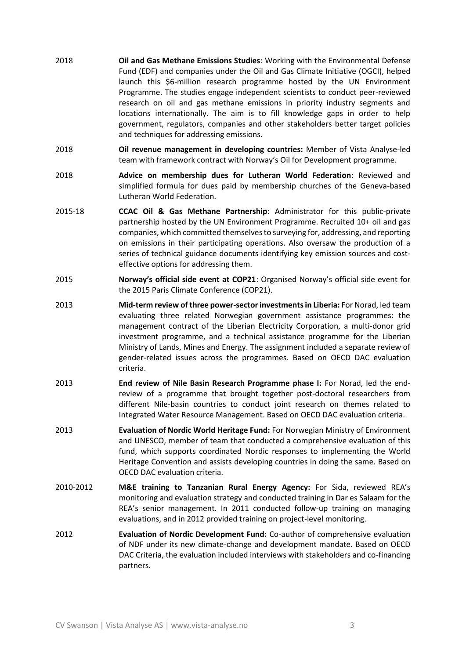- 2018 **Oil and Gas Methane Emissions Studies**: Working with the Environmental Defense Fund (EDF) and companies under the Oil and Gas Climate Initiative (OGCI), helped launch this \$6-million research programme hosted by the UN Environment Programme. The studies engage independent scientists to conduct peer-reviewed research on oil and gas methane emissions in priority industry segments and locations internationally. The aim is to fill knowledge gaps in order to help government, regulators, companies and other stakeholders better target policies and techniques for addressing emissions.
- 2018 **Oil revenue management in developing countries:** Member of Vista Analyse-led team with framework contract with Norway's Oil for Development programme.
- 2018 **Advice on membership dues for Lutheran World Federation**: Reviewed and simplified formula for dues paid by membership churches of the Geneva-based Lutheran World Federation.
- 2015-18 **CCAC Oil & Gas Methane Partnership**: Administrator for this public-private partnership hosted by the UN Environment Programme. Recruited 10+ oil and gas companies, which committed themselves to surveying for, addressing, and reporting on emissions in their participating operations. Also oversaw the production of a series of technical guidance documents identifying key emission sources and costeffective options for addressing them.
- 2015 **Norway's official side event at COP21**: Organised Norway's official side event for the 2015 Paris Climate Conference (COP21).
- 2013 **Mid-term review of three power-sector investments in Liberia:** For Norad, led team evaluating three related Norwegian government assistance programmes: the management contract of the Liberian Electricity Corporation, a multi-donor grid investment programme, and a technical assistance programme for the Liberian Ministry of Lands, Mines and Energy. The assignment included a separate review of gender-related issues across the programmes. Based on OECD DAC evaluation criteria.
- 2013 **End review of Nile Basin Research Programme phase I:** For Norad, led the endreview of a programme that brought together post-doctoral researchers from different Nile-basin countries to conduct joint research on themes related to Integrated Water Resource Management. Based on OECD DAC evaluation criteria.
- 2013 **Evaluation of Nordic World Heritage Fund:** For Norwegian Ministry of Environment and UNESCO, member of team that conducted a comprehensive evaluation of this fund, which supports coordinated Nordic responses to implementing the World Heritage Convention and assists developing countries in doing the same. Based on OECD DAC evaluation criteria.
- 2010-2012 **M&E training to Tanzanian Rural Energy Agency:** For Sida, reviewed REA's monitoring and evaluation strategy and conducted training in Dar es Salaam for the REA's senior management. In 2011 conducted follow-up training on managing evaluations, and in 2012 provided training on project-level monitoring.
- 2012 **Evaluation of Nordic Development Fund:** Co-author of comprehensive evaluation of NDF under its new climate-change and development mandate. Based on OECD DAC Criteria, the evaluation included interviews with stakeholders and co-financing partners.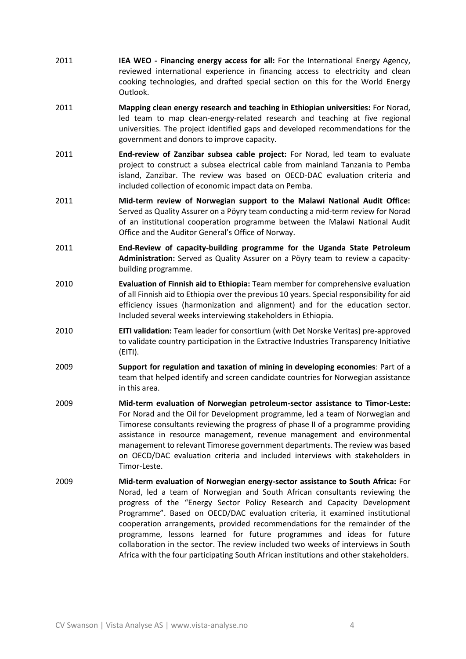- 2011 **IEA WEO - Financing energy access for all:** For the International Energy Agency, reviewed international experience in financing access to electricity and clean cooking technologies, and drafted special section on this for the World Energy Outlook.
- 2011 **Mapping clean energy research and teaching in Ethiopian universities:** For Norad, led team to map clean-energy-related research and teaching at five regional universities. The project identified gaps and developed recommendations for the government and donors to improve capacity.
- 2011 **End-review of Zanzibar subsea cable project:** For Norad, led team to evaluate project to construct a subsea electrical cable from mainland Tanzania to Pemba island, Zanzibar. The review was based on OECD-DAC evaluation criteria and included collection of economic impact data on Pemba.
- 2011 **Mid-term review of Norwegian support to the Malawi National Audit Office:**  Served as Quality Assurer on a Pöyry team conducting a mid-term review for Norad of an institutional cooperation programme between the Malawi National Audit Office and the Auditor General's Office of Norway.
- 2011 **End-Review of capacity-building programme for the Uganda State Petroleum Administration:** Served as Quality Assurer on a Pöyry team to review a capacitybuilding programme.
- 2010 **Evaluation of Finnish aid to Ethiopia:** Team member for comprehensive evaluation of all Finnish aid to Ethiopia over the previous 10 years. Special responsibility for aid efficiency issues (harmonization and alignment) and for the education sector. Included several weeks interviewing stakeholders in Ethiopia.
- 2010 **EITI validation:** Team leader for consortium (with Det Norske Veritas) pre-approved to validate country participation in the Extractive Industries Transparency Initiative (EITI).
- 2009 **Support for regulation and taxation of mining in developing economies**: Part of a team that helped identify and screen candidate countries for Norwegian assistance in this area.
- 2009 **Mid-term evaluation of Norwegian petroleum-sector assistance to Timor-Leste:**  For Norad and the Oil for Development programme, led a team of Norwegian and Timorese consultants reviewing the progress of phase II of a programme providing assistance in resource management, revenue management and environmental management to relevant Timorese government departments. The review was based on OECD/DAC evaluation criteria and included interviews with stakeholders in Timor-Leste.
- 2009 **Mid-term evaluation of Norwegian energy-sector assistance to South Africa:** For Norad, led a team of Norwegian and South African consultants reviewing the progress of the "Energy Sector Policy Research and Capacity Development Programme". Based on OECD/DAC evaluation criteria, it examined institutional cooperation arrangements, provided recommendations for the remainder of the programme, lessons learned for future programmes and ideas for future collaboration in the sector. The review included two weeks of interviews in South Africa with the four participating South African institutions and other stakeholders.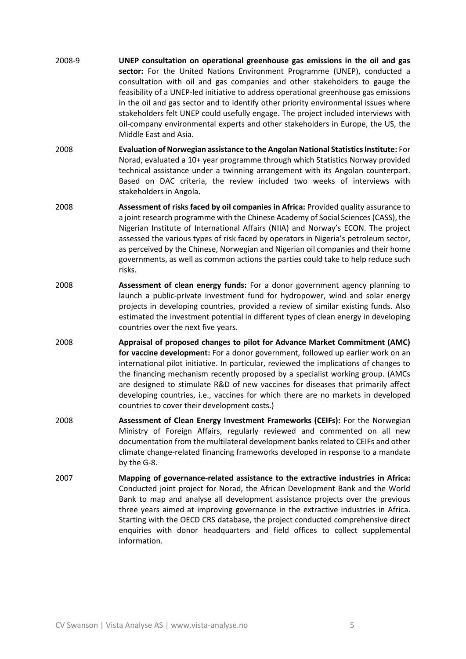- 2008-9 **UNEP consultation on operational greenhouse gas emissions in the oil and gas sector:** For the United Nations Environment Programme (UNEP), conducted a consultation with oil and gas companies and other stakeholders to gauge the feasibility of a UNEP-led initiative to address operational greenhouse gas emissions in the oil and gas sector and to identify other priority environmental issues where stakeholders felt UNEP could usefully engage. The project included interviews with oil-company environmental experts and other stakeholders in Europe, the US, the Middle East and Asia.
- 2008 **Evaluation of Norwegian assistance to the Angolan National Statistics Institute:** For Norad, evaluated a 10+ year programme through which Statistics Norway provided technical assistance under a twinning arrangement with its Angolan counterpart. Based on DAC criteria, the review included two weeks of interviews with stakeholders in Angola.
- 2008 **Assessment of risks faced by oil companies in Africa:** Provided quality assurance to a joint research programme with the Chinese Academy of Social Sciences (CASS), the Nigerian Institute of International Affairs (NIIA) and Norway's ECON. The project assessed the various types of risk faced by operators in Nigeria's petroleum sector, as perceived by the Chinese, Norwegian and Nigerian oil companies and their home governments, as well as common actions the parties could take to help reduce such risks.
- 2008 **Assessment of clean energy funds:** For a donor government agency planning to launch a public-private investment fund for hydropower, wind and solar energy projects in developing countries, provided a review of similar existing funds. Also estimated the investment potential in different types of clean energy in developing countries over the next five years.
- 2008 **Appraisal of proposed changes to pilot for Advance Market Commitment (AMC) for vaccine development:** For a donor government, followed up earlier work on an international pilot initiative. In particular, reviewed the implications of changes to the financing mechanism recently proposed by a specialist working group. (AMCs are designed to stimulate R&D of new vaccines for diseases that primarily affect developing countries, i.e., vaccines for which there are no markets in developed countries to cover their development costs.)
- 2008 **Assessment of Clean Energy Investment Frameworks (CEIFs):** For the Norwegian Ministry of Foreign Affairs, regularly reviewed and commented on all new documentation from the multilateral development banks related to CEIFs and other climate change-related financing frameworks developed in response to a mandate by the G-8.
- 2007 **Mapping of governance-related assistance to the extractive industries in Africa:**  Conducted joint project for Norad, the African Development Bank and the World Bank to map and analyse all development assistance projects over the previous three years aimed at improving governance in the extractive industries in Africa. Starting with the OECD CRS database, the project conducted comprehensive direct enquiries with donor headquarters and field offices to collect supplemental information.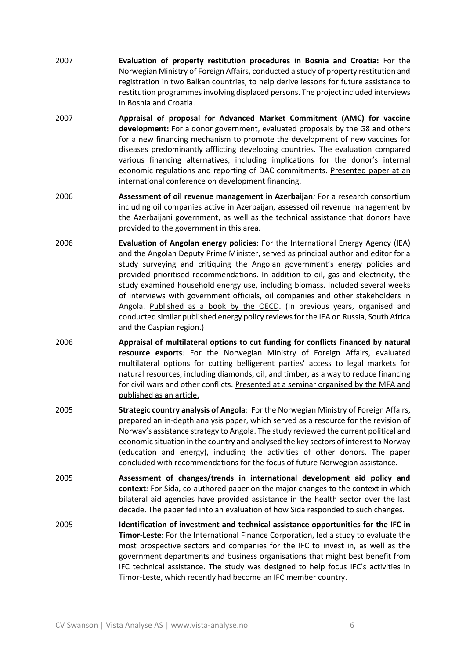- 2007 **Evaluation of property restitution procedures in Bosnia and Croatia:** For the Norwegian Ministry of Foreign Affairs, conducted a study of property restitution and registration in two Balkan countries, to help derive lessons for future assistance to restitution programmes involving displaced persons. The project included interviews in Bosnia and Croatia.
- 2007 **Appraisal of proposal for Advanced Market Commitment (AMC) for vaccine development:** For a donor government, evaluated proposals by the G8 and others for a new financing mechanism to promote the development of new vaccines for diseases predominantly afflicting developing countries. The evaluation compared various financing alternatives, including implications for the donor's internal economic regulations and reporting of DAC commitments. Presented paper at an international conference on development financing.
- 2006 **Assessment of oil revenue management in Azerbaijan***:* For a research consortium including oil companies active in Azerbaijan, assessed oil revenue management by the Azerbaijani government, as well as the technical assistance that donors have provided to the government in this area.
- 2006 **Evaluation of Angolan energy policies**: For the International Energy Agency (IEA) and the Angolan Deputy Prime Minister, served as principal author and editor for a study surveying and critiquing the Angolan government's energy policies and provided prioritised recommendations. In addition to oil, gas and electricity, the study examined household energy use, including biomass. Included several weeks of interviews with government officials, oil companies and other stakeholders in Angola. Published as a book by the OECD. (In previous years, organised and conducted similar published energy policy reviews for the IEA on Russia, South Africa and the Caspian region.)
- 2006 **Appraisal of multilateral options to cut funding for conflicts financed by natural resource exports***:* For the Norwegian Ministry of Foreign Affairs, evaluated multilateral options for cutting belligerent parties' access to legal markets for natural resources, including diamonds, oil, and timber, as a way to reduce financing for civil wars and other conflicts. Presented at a seminar organised by the MFA and published as an article.
- 2005 **Strategic country analysis of Angola***:* For the Norwegian Ministry of Foreign Affairs, prepared an in-depth analysis paper, which served as a resource for the revision of Norway's assistance strategy to Angola. The study reviewed the current political and economic situation in the country and analysed the key sectors of interest to Norway (education and energy), including the activities of other donors. The paper concluded with recommendations for the focus of future Norwegian assistance.
- 2005 **Assessment of changes/trends in international development aid policy and context***:* For Sida, co-authored paper on the major changes to the context in which bilateral aid agencies have provided assistance in the health sector over the last decade. The paper fed into an evaluation of how Sida responded to such changes.
- 2005 **Identification of investment and technical assistance opportunities for the IFC in Timor-Leste**: For the International Finance Corporation, led a study to evaluate the most prospective sectors and companies for the IFC to invest in, as well as the government departments and business organisations that might best benefit from IFC technical assistance. The study was designed to help focus IFC's activities in Timor-Leste, which recently had become an IFC member country.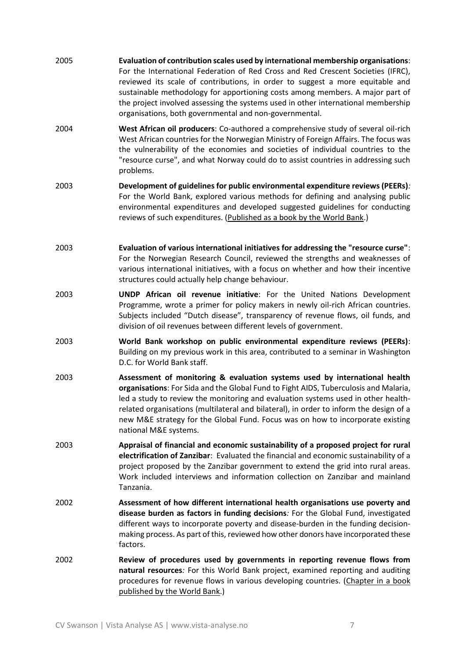- 2005 **Evaluation of contribution scales used by international membership organisations**: For the International Federation of Red Cross and Red Crescent Societies (IFRC), reviewed its scale of contributions, in order to suggest a more equitable and sustainable methodology for apportioning costs among members. A major part of the project involved assessing the systems used in other international membership organisations, both governmental and non-governmental.
- 2004 **West African oil producers**: Co-authored a comprehensive study of several oil-rich West African countries for the Norwegian Ministry of Foreign Affairs. The focus was the vulnerability of the economies and societies of individual countries to the "resource curse", and what Norway could do to assist countries in addressing such problems.
- 2003 **Development of guidelines for public environmental expenditure reviews (PEERs)***:* For the World Bank, explored various methods for defining and analysing public environmental expenditures and developed suggested guidelines for conducting reviews of such expenditures. (Published as a book by the World Bank.)
- 2003 **Evaluation of various international initiatives for addressing the "resource curse"**: For the Norwegian Research Council, reviewed the strengths and weaknesses of various international initiatives, with a focus on whether and how their incentive structures could actually help change behaviour.
- 2003 **UNDP African oil revenue initiative**: For the United Nations Development Programme, wrote a primer for policy makers in newly oil-rich African countries. Subjects included "Dutch disease", transparency of revenue flows, oil funds, and division of oil revenues between different levels of government.
- 2003 **World Bank workshop on public environmental expenditure reviews (PEERs)**: Building on my previous work in this area, contributed to a seminar in Washington D.C. for World Bank staff.
- 2003 **Assessment of monitoring & evaluation systems used by international health organisations**: For Sida and the Global Fund to Fight AIDS, Tuberculosis and Malaria, led a study to review the monitoring and evaluation systems used in other healthrelated organisations (multilateral and bilateral), in order to inform the design of a new M&E strategy for the Global Fund. Focus was on how to incorporate existing national M&E systems.
- 2003 **Appraisal of financial and economic sustainability of a proposed project for rural electrification of Zanzibar**: Evaluated the financial and economic sustainability of a project proposed by the Zanzibar government to extend the grid into rural areas. Work included interviews and information collection on Zanzibar and mainland Tanzania.
- 2002 **Assessment of how different international health organisations use poverty and disease burden as factors in funding decisions***:* For the Global Fund, investigated different ways to incorporate poverty and disease-burden in the funding decisionmaking process. As part of this, reviewed how other donors have incorporated these factors.
- 2002 **Review of procedures used by governments in reporting revenue flows from natural resources***:* For this World Bank project, examined reporting and auditing procedures for revenue flows in various developing countries. (Chapter in a book published by the World Bank.)